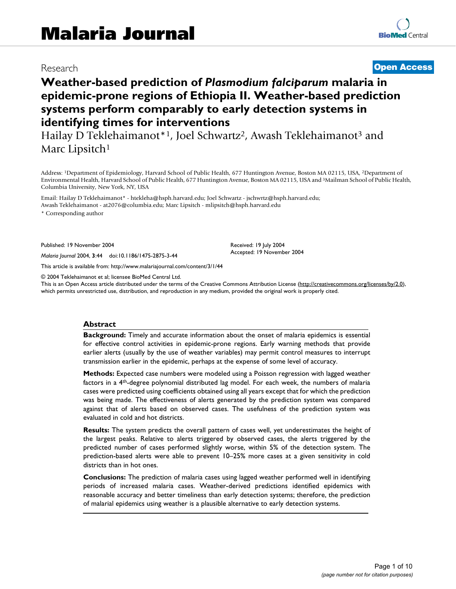# Research **[Open Access](http://www.biomedcentral.com/info/about/charter/)**

# **Weather-based prediction of** *Plasmodium falciparum* **malaria in epidemic-prone regions of Ethiopia II. Weather-based prediction systems perform comparably to early detection systems in identifying times for interventions**

Hailay D Teklehaimanot<sup>\*1</sup>, Joel Schwartz<sup>2</sup>, Awash Teklehaimanot<sup>3</sup> and Marc Lipsitch<sup>1</sup>

Address: 1Department of Epidemiology, Harvard School of Public Health, 677 Huntington Avenue, Boston MA 02115, USA, 2Department of Environmental Health, Harvard School of Public Health, 677 Huntington Avenue, Boston MA 02115, USA and 3Mailman School of Public Health, Columbia University, New York, NY, USA

Email: Hailay D Teklehaimanot\* - htekleha@hsph.harvard.edu; Joel Schwartz - jschwrtz@hsph.harvard.edu; Awash Teklehaimanot - at2076@columbia.edu; Marc Lipsitch - mlipsitch@hsph.harvard.edu

\* Corresponding author

Published: 19 November 2004

*Malaria Journal* 2004, **3**:44 doi:10.1186/1475-2875-3-44

[This article is available from: http://www.malariajournal.com/content/3/1/44](http://www.malariajournal.com/content/3/1/44)

© 2004 Teklehaimanot et al; licensee BioMed Central Ltd.

This is an Open Access article distributed under the terms of the Creative Commons Attribution License [\(http://creativecommons.org/licenses/by/2.0\)](http://creativecommons.org/licenses/by/2.0), which permits unrestricted use, distribution, and reproduction in any medium, provided the original work is properly cited.

Received: 19 July 2004 Accepted: 19 November 2004

#### **Abstract**

**Background:** Timely and accurate information about the onset of malaria epidemics is essential for effective control activities in epidemic-prone regions. Early warning methods that provide earlier alerts (usually by the use of weather variables) may permit control measures to interrupt transmission earlier in the epidemic, perhaps at the expense of some level of accuracy.

**Methods:** Expected case numbers were modeled using a Poisson regression with lagged weather factors in a 4th-degree polynomial distributed lag model. For each week, the numbers of malaria cases were predicted using coefficients obtained using all years except that for which the prediction was being made. The effectiveness of alerts generated by the prediction system was compared against that of alerts based on observed cases. The usefulness of the prediction system was evaluated in cold and hot districts.

**Results:** The system predicts the overall pattern of cases well, yet underestimates the height of the largest peaks. Relative to alerts triggered by observed cases, the alerts triggered by the predicted number of cases performed slightly worse, within 5% of the detection system. The prediction-based alerts were able to prevent 10–25% more cases at a given sensitivity in cold districts than in hot ones.

**Conclusions:** The prediction of malaria cases using lagged weather performed well in identifying periods of increased malaria cases. Weather-derived predictions identified epidemics with reasonable accuracy and better timeliness than early detection systems; therefore, the prediction of malarial epidemics using weather is a plausible alternative to early detection systems.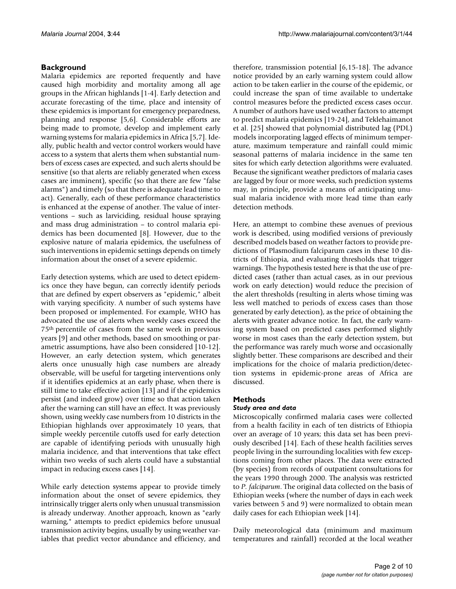# **Background**

Malaria epidemics are reported frequently and have caused high morbidity and mortality among all age groups in the African highlands [1-4]. Early detection and accurate forecasting of the time, place and intensity of these epidemics is important for emergency preparedness, planning and response [5,6]. Considerable efforts are being made to promote, develop and implement early warning systems for malaria epidemics in Africa [5,7]. Ideally, public health and vector control workers would have access to a system that alerts them when substantial numbers of excess cases are expected, and such alerts should be sensitive (so that alerts are reliably generated when excess cases are imminent), specific (so that there are few "false alarms") and timely (so that there is adequate lead time to act). Generally, each of these performance characteristics is enhanced at the expense of another. The value of interventions – such as larviciding, residual house spraying and mass drug administration – to control malaria epidemics has been documented [8]. However, due to the explosive nature of malaria epidemics, the usefulness of such interventions in epidemic settings depends on timely information about the onset of a severe epidemic.

Early detection systems, which are used to detect epidemics once they have begun, can correctly identify periods that are defined by expert observers as "epidemic," albeit with varying specificity. A number of such systems have been proposed or implemented. For example, WHO has advocated the use of alerts when weekly cases exceed the 75th percentile of cases from the same week in previous years [9] and other methods, based on smoothing or parametric assumptions, have also been considered [10-12]. However, an early detection system, which generates alerts once unusually high case numbers are already observable, will be useful for targeting interventions only if it identifies epidemics at an early phase, when there is still time to take effective action [13] and if the epidemics persist (and indeed grow) over time so that action taken after the warning can still have an effect. It was previously shown, using weekly case numbers from 10 districts in the Ethiopian highlands over approximately 10 years, that simple weekly percentile cutoffs used for early detection are capable of identifying periods with unusually high malaria incidence, and that interventions that take effect within two weeks of such alerts could have a substantial impact in reducing excess cases [14].

While early detection systems appear to provide timely information about the onset of severe epidemics, they intrinsically trigger alerts only when unusual transmission is already underway. Another approach, known as "early warning," attempts to predict epidemics before unusual transmission activity begins, usually by using weather variables that predict vector abundance and efficiency, and therefore, transmission potential [6,15-18]. The advance notice provided by an early warning system could allow action to be taken earlier in the course of the epidemic, or could increase the span of time available to undertake control measures before the predicted excess cases occur. A number of authors have used weather factors to attempt to predict malaria epidemics [19-24], and Teklehaimanot et al. [25] showed that polynomial distributed lag (PDL) models incorporating lagged effects of minimum temperature, maximum temperature and rainfall could mimic seasonal patterns of malaria incidence in the same ten sites for which early detection algorithms were evaluated. Because the significant weather predictors of malaria cases are lagged by four or more weeks, such prediction systems may, in principle, provide a means of anticipating unusual malaria incidence with more lead time than early detection methods.

Here, an attempt to combine these avenues of previous work is described, using modified versions of previously described models based on weather factors to provide predictions of Plasmodium falciparum cases in these 10 districts of Ethiopia, and evaluating thresholds that trigger warnings. The hypothesis tested here is that the use of predicted cases (rather than actual cases, as in our previous work on early detection) would reduce the precision of the alert thresholds (resulting in alerts whose timing was less well matched to periods of excess cases than those generated by early detection), as the price of obtaining the alerts with greater advance notice. In fact, the early warning system based on predicted cases performed slightly worse in most cases than the early detection system, but the performance was rarely much worse and occasionally slightly better. These comparisons are described and their implications for the choice of malaria prediction/detection systems in epidemic-prone areas of Africa are discussed.

# **Methods**

### *Study area and data*

Microscopically confirmed malaria cases were collected from a health facility in each of ten districts of Ethiopia over an average of 10 years; this data set has been previously described [14]. Each of these health facilities serves people living in the surrounding localities with few exceptions coming from other places. The data were extracted (by species) from records of outpatient consultations for the years 1990 through 2000. The analysis was restricted to *P. falciparum*. The original data collected on the basis of Ethiopian weeks (where the number of days in each week varies between 5 and 9) were normalized to obtain mean daily cases for each Ethiopian week [14].

Daily meteorological data (minimum and maximum temperatures and rainfall) recorded at the local weather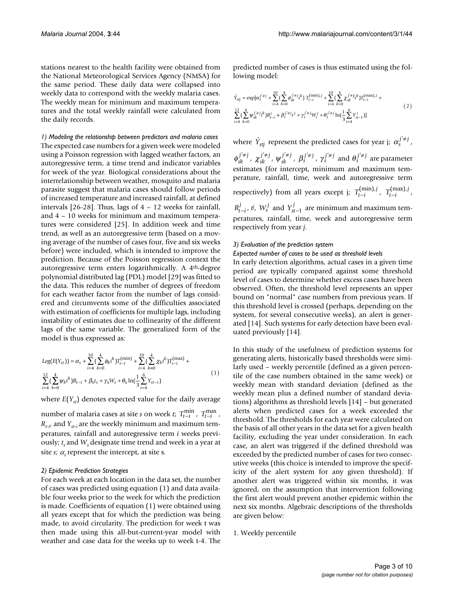stations nearest to the health facility were obtained from the National Meteorological Services Agency (NMSA) for the same period. These daily data were collapsed into weekly data to correspond with the weekly malaria cases. The weekly mean for minimum and maximum temperatures and the total weekly rainfall were calculated from the daily records.

*1) Modeling the relationship between predictors and malaria cases* The expected case numbers for a given week were modeled using a Poisson regression with lagged weather factors, an autoregressive term, a time trend and indicator variables for week of the year. Biological considerations about the interrelationship between weather, mosquito and malaria parasite suggest that malaria cases should follow periods of increased temperature and increased rainfall, at defined intervals [26-28]. Thus, lags of 4 – 12 weeks for rainfall, and 4 – 10 weeks for minimum and maximum temperatures were considered [25]. In addition week and time trend, as well as an autoregressive term (based on a moving average of the number of cases four, five and six weeks before) were included, which is intended to improve the prediction. Because of the Poisson regression context the autoregressive term enters logarithmically. A 4th-degree polynomial distributed lag (PDL) model [29] was fitted to the data. This reduces the number of degrees of freedom for each weather factor from the number of lags considered and circumvents some of the difficulties associated with estimation of coefficients for multiple lags, including instability of estimates due to collinearity of the different lags of the same variable. The generalized form of the model is thus expressed as:

$$
Log(E(Y_{st})) = \alpha_s + \sum_{i=4}^{10} (\sum_{k=0}^{4} \phi_{k} i^{k}) T_{t-i}^{(\min)} + \sum_{i=4}^{10} (\sum_{k=0}^{4} \chi_{k} i^{k}) T_{t-i}^{(\max)} + \sum_{i=4}^{12} (\sum_{k=0}^{4} \psi_{k} i^{k}) R_{t-i} + \beta_s t_s + \gamma_s W_s + \theta_s \ln(\frac{1}{3} \sum_{i=4}^{6} Y_{st-i})
$$
\n
$$
(1)
$$

where  $E(Y_{st})$  denotes expected value for the daily average

number of malaria cases at site *s* on week *t*;  $T_{t-i}^{\min}$  ,  $T_{t-i}^{\max}$  ,  $R_{t-i}$ , and  $Y_{st-i}$  are the weekly minimum and maximum temperatures, rainfall and autoregressive term *i* weeks previously; *t*<sub>s</sub> and *W*<sub>s</sub> designate time trend and week in a year at site  $s$ ;  $\alpha$  represent the intercept, at site s.

#### *2) Epidemic Prediction Strategies*

For each week at each location in the data set, the number of cases was predicted using equation (1) and data available four weeks prior to the week for which the prediction is made. Coefficients of equation (1) were obtained using all years except that for which the prediction was being made, to avoid circularity. The prediction for week t was then made using this all-but-current-year model with weather and case data for the weeks up to week t-4. The

predicted number of cases is thus estimated using the following model:

$$
\hat{Y}_{sij} = \exp[\alpha_s^{j' \neq j} + \sum_{i=4}^{10} \left( \sum_{k=0}^{4} \phi_{sk}^{j' \neq j} i^k \right) T_{t-i}^{(\min),j} + \sum_{i=4}^{10} \left( \sum_{k=0}^{4} \chi_{sk}^{j' \neq j} i^k \right) T_{t-i}^{(\max),j} + \sum_{i=4}^{12} \left( \sum_{k=0}^{4} \psi_{sk}^{j' \neq j} i^k \right) R_{t-i}^{j} + \beta_s^{j' \neq j} i^k t^j + \gamma_s^{j' \neq j} W_s^j + \theta_s^{j' \neq j} \ln\left(\frac{1}{3} \sum_{i=4}^{6} Y_{st-1}^j\right) ]
$$
\n(2)

where  $\hat{Y}_{stj}$  represent the predicted cases for year j;  $\alpha_s^{j' \neq j}$ ,  $\varphi_{sk}^{j' \neq j}$ ,  $\chi_{sk}^{j' \neq j}$ ,  $\psi_{sk}^{j' \neq j}$ ,  $\varphi_{s}^{j' \neq j}$ ,  $\gamma_{s}^{j' \neq j}$  and  $\theta_{s}^{j' \neq j}$  are parameter estimates (for intercept, minimum and maximum temperature, rainfall, time, week and autoregressive term respectively) from all years except j;  $T_{t-i}^{(\min),j}$ ,  $T_{t-i}^{(\max),j}$ ,  $T_{t-i}^{(\min),j}$ ,  $T_{t-i}^{(\max),j}$ − (max),

 $R_{t-i}^j$ , *t*,  $W_s^j$  and  $Y_{st-1}^j$  are minimum and maximum temperatures, rainfall, time, week and autoregressive term respectively from year *j*.

#### *3) Evaluation of the prediction system*

#### *Expected number of cases to be used as threshold levels*

In early detection algorithms, actual cases in a given time period are typically compared against some threshold level of cases to determine whether excess cases have been observed. Often, the threshold level represents an upper bound on "normal" case numbers from previous years. If this threshold level is crossed (perhaps, depending on the system, for several consecutive weeks), an alert is generated [14]. Such systems for early detection have been evaluated previously [14].

In this study of the usefulness of prediction systems for generating alerts, historically based thresholds were similarly used – weekly percentile (defined as a given percentile of the case numbers obtained in the same week) or weekly mean with standard deviation (defined as the weekly mean plus a defined number of standard deviations) algorithms as threshold levels [14] – but generated alerts when predicted cases for a week exceeded the threshold. The thresholds for each year were calculated on the basis of all other years in the data set for a given health facility, excluding the year under consideration. In each case, an alert was triggered if the defined threshold was exceeded by the predicted number of cases for two consecutive weeks (this choice is intended to improve the specificity of the alert system for any given threshold). If another alert was triggered within six months, it was ignored, on the assumption that intervention following the first alert would prevent another epidemic within the next six months. Algebraic descriptions of the thresholds are given below:

#### 1. Weekly percentile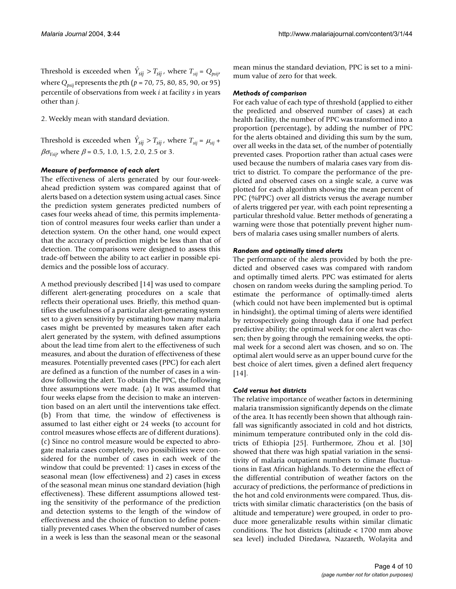Threshold is exceeded when  $\hat{Y}_{sij} > T_{sij}$ , where  $T_{sij} = Q_{psij'}$ where *Qpsij* represents the *p*th (*p* = 70, 75, 80, 85, 90, or 95) percentile of observations from week *i* at facility *s* in years other than *j*.

2. Weekly mean with standard deviation.

Threshold is exceeded when  $\hat{Y}_{sij} > T_{sij}$ , where  $T_{sij} = \mu_{sij}$  +  $\beta \sigma_{Ysii'}$ , where  $\beta$  = 0.5, 1.0, 1.5, 2.0, 2.5 or 3.

### *Measure of performance of each alert*

The effectiveness of alerts generated by our four-weekahead prediction system was compared against that of alerts based on a detection system using actual cases. Since the prediction system generates predicted numbers of cases four weeks ahead of time, this permits implementation of control measures four weeks earlier than under a detection system. On the other hand, one would expect that the accuracy of prediction might be less than that of detection. The comparisons were designed to assess this trade-off between the ability to act earlier in possible epidemics and the possible loss of accuracy.

A method previously described [14] was used to compare different alert-generating procedures on a scale that reflects their operational uses. Briefly, this method quantifies the usefulness of a particular alert-generating system set to a given sensitivity by estimating how many malaria cases might be prevented by measures taken after each alert generated by the system, with defined assumptions about the lead time from alert to the effectiveness of such measures, and about the duration of effectiveness of these measures. Potentially prevented cases (PPC) for each alert are defined as a function of the number of cases in a window following the alert. To obtain the PPC, the following three assumptions were made. (a) It was assumed that four weeks elapse from the decision to make an intervention based on an alert until the interventions take effect. (b) From that time, the window of effectiveness is assumed to last either eight or 24 weeks (to account for control measures whose effects are of different durations). (c) Since no control measure would be expected to abrogate malaria cases completely, two possibilities were considered for the number of cases in each week of the window that could be prevented: 1) cases in excess of the seasonal mean (low effectiveness) and 2) cases in excess of the seasonal mean minus one standard deviation (high effectiveness). These different assumptions allowed testing the sensitivity of the performance of the prediction and detection systems to the length of the window of effectiveness and the choice of function to define potentially prevented cases. When the observed number of cases in a week is less than the seasonal mean or the seasonal mean minus the standard deviation, PPC is set to a minimum value of zero for that week.

#### *Methods of comparison*

For each value of each type of threshold (applied to either the predicted and observed number of cases) at each health facility, the number of PPC was transformed into a proportion (percentage), by adding the number of PPC for the alerts obtained and dividing this sum by the sum, over all weeks in the data set, of the number of potentially prevented cases. Proportion rather than actual cases were used because the numbers of malaria cases vary from district to district. To compare the performance of the predicted and observed cases on a single scale, a curve was plotted for each algorithm showing the mean percent of PPC (%PPC) over all districts versus the average number of alerts triggered per year, with each point representing a particular threshold value. Better methods of generating a warning were those that potentially prevent higher numbers of malaria cases using smaller numbers of alerts.

#### *Random and optimally timed alerts*

The performance of the alerts provided by both the predicted and observed cases was compared with random and optimally timed alerts. PPC was estimated for alerts chosen on random weeks during the sampling period. To estimate the performance of optimally-timed alerts (which could not have been implemented but is optimal in hindsight), the optimal timing of alerts were identified by retrospectively going through data if one had perfect predictive ability; the optimal week for one alert was chosen; then by going through the remaining weeks, the optimal week for a second alert was chosen, and so on. The optimal alert would serve as an upper bound curve for the best choice of alert times, given a defined alert frequency [14].

### *Cold versus hot districts*

The relative importance of weather factors in determining malaria transmission significantly depends on the climate of the area. It has recently been shown that although rainfall was significantly associated in cold and hot districts, minimum temperature contributed only in the cold districts of Ethiopia [25]. Furthermore, Zhou et al. [30] showed that there was high spatial variation in the sensitivity of malaria outpatient numbers to climate fluctuations in East African highlands. To determine the effect of the differential contribution of weather factors on the accuracy of predictions, the performance of predictions in the hot and cold environments were compared. Thus, districts with similar climatic characteristics (on the basis of altitude and temperature) were grouped, in order to produce more generalizable results within similar climatic conditions. The hot districts (altitude < 1700 mm above sea level) included Diredawa, Nazareth, Wolayita and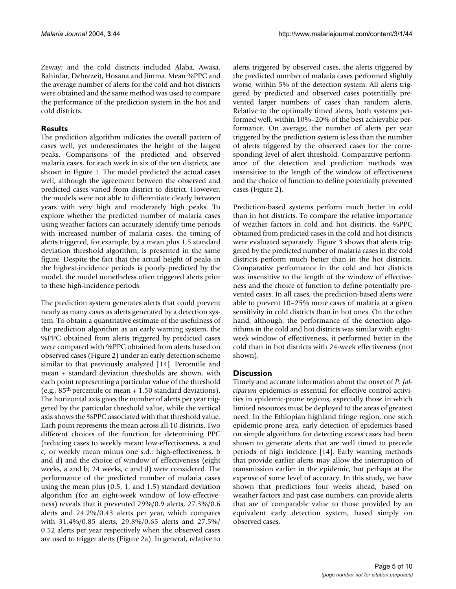Zeway; and the cold districts included Alaba, Awasa, Bahirdar, Debrezeit, Hosana and Jimma. Mean %PPC and the average number of alerts for the cold and hot districts were obtained and the same method was used to compare the performance of the prediction system in the hot and cold districts.

# **Results**

The prediction algorithm indicates the overall pattern of cases well, yet underestimates the height of the largest peaks. Comparisons of the predicted and observed malaria cases, for each week in six of the ten districts, are shown in Figure [1.](#page-5-0) The model predicted the actual cases well, although the agreement between the observed and predicted cases varied from district to district. However, the models were not able to differentiate clearly between years with very high and moderately high peaks. To explore whether the predicted number of malaria cases using weather factors can accurately identify time periods with increased number of malaria cases, the timing of alerts triggered, for example, by a mean plus 1.5 standard deviation threshold algorithm, is presented in the same figure. Despite the fact that the actual height of peaks in the highest-incidence periods is poorly predicted by the model, the model nonetheless often triggered alerts prior to these high-incidence periods.

The prediction system generates alerts that could prevent nearly as many cases as alerts generated by a detection system. To obtain a quantitative estimate of the usefulness of the prediction algorithm as an early warning system, the %PPC obtained from alerts triggered by predicted cases were compared with %PPC obtained from alerts based on observed cases (Figure [2](#page-6-0)) under an early detection scheme similar to that previously analyzed [14]. Percentile and mean + standard deviation thresholds are shown, with each point representing a particular value of the threshold (e.g.,  $85<sup>th</sup>$  percentile or mean + 1.50 standard deviations). The horizontal axis gives the number of alerts per year triggered by the particular threshold value, while the vertical axis shows the %PPC associated with that threshold value. Each point represents the mean across all 10 districts. Two different choices of the function for determining PPC (reducing cases to weekly mean: low-effectiveness, a and c, or weekly mean minus one s.d.: high-effectiveness, b and d) and the choice of window of effectiveness (eight weeks, a and b; 24 weeks, c and d) were considered. The performance of the predicted number of malaria cases using the mean plus (0.5, 1, and 1.5) standard deviation algorithm (for an eight-week window of low-effectiveness) reveals that it prevented 29%/0.9 alerts, 27.3%/0.6 alerts and 24.2%/0.43 alerts per year, which compares with 31.4%/0.85 alerts, 29.8%/0.65 alerts and 27.5%/ 0.52 alerts per year respectively when the observed cases are used to trigger alerts (Figure [2](#page-6-0)a). In general, relative to

alerts triggered by observed cases, the alerts triggered by the predicted number of malaria cases performed slightly worse, within 5% of the detection system. All alerts triggered by predicted and observed cases potentially prevented larger numbers of cases than random alerts. Relative to the optimally timed alerts, both systems performed well, within 10%–20% of the best achievable performance. On average, the number of alerts per year triggered by the prediction system is less than the number of alerts triggered by the observed cases for the corresponding level of alert threshold. Comparative performance of the detection and prediction methods was insensitive to the length of the window of effectiveness and the choice of function to define potentially prevented cases (Figure [2](#page-6-0)).

Prediction-based systems perform much better in cold than in hot districts. To compare the relative importance of weather factors in cold and hot districts, the %PPC obtained from predicted cases in the cold and hot districts were evaluated separately. Figure [3](#page-7-0) shows that alerts triggered by the predicted number of malaria cases in the cold districts perform much better than in the hot districts. Comparative performance in the cold and hot districts was insensitive to the length of the window of effectiveness and the choice of function to define potentially prevented cases. In all cases, the prediction-based alerts were able to prevent 10–25% more cases of malaria at a given sensitivity in cold districts than in hot ones. On the other hand, although, the performance of the detection algorithms in the cold and hot districts was similar with eightweek window of effectiveness, it performed better in the cold than in hot districts with 24-week effectiveness (not shown).

### **Discussion**

Timely and accurate information about the onset of *P. falciparum* epidemics is essential for effective control activities in epidemic-prone regions, especially those in which limited resources must be deployed to the areas of greatest need. In the Ethiopian highland fringe region, one such epidemic-prone area, early detection of epidemics based on simple algorithms for detecting excess cases had been shown to generate alerts that are well timed to precede periods of high incidence [14]. Early warning methods that provide earlier alerts may allow the interruption of transmission earlier in the epidemic, but perhaps at the expense of some level of accuracy. In this study, we have shown that predictions four weeks ahead, based on weather factors and past case numbers, can provide alerts that are of comparable value to those provided by an equivalent early detection system, based simply on observed cases.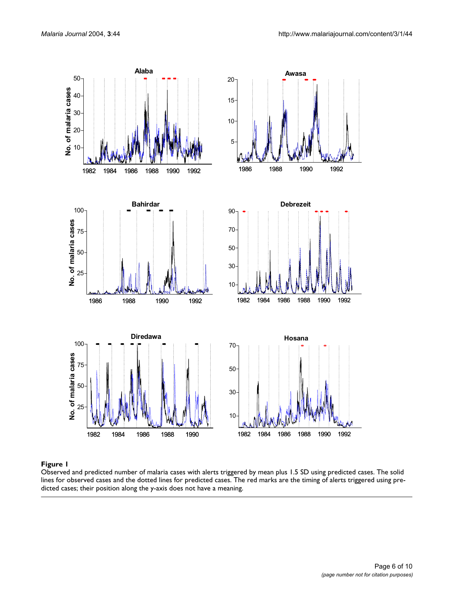<span id="page-5-0"></span>

#### **Figure 1** Observed and predicted number of malaria cases with alerts triggered by mean plus 1.5 SD using predicted cases with all  $\alpha$

Observed and predicted number of malaria cases with alerts triggered by mean plus 1.5 SD using predicted cases. The solid lines for observed cases and the dotted lines for predicted cases. The red marks are the timing of alerts triggered using predicted cases; their position along the y-axis does not have a meaning.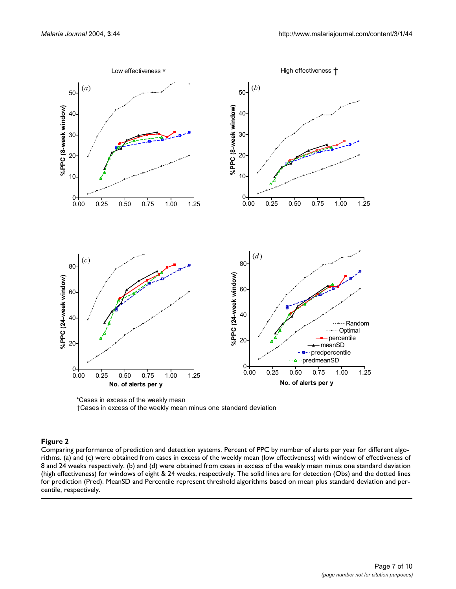<span id="page-6-0"></span>

\*Cases in excess of the weekly mean †Cases in excess of the weekly mean minus one standard deviation

#### Figure 2

Comparing performance of prediction and detection systems. Percent of PPC by number of alerts per year for different algorithms. (a) and (c) were obtained from cases in excess of the weekly mean (low effectiveness) with window of effectiveness of 8 and 24 weeks respectively. (b) and (d) were obtained from cases in excess of the weekly mean minus one standard deviation (high effectiveness) for windows of eight & 24 weeks, respectively. The solid lines are for detection (Obs) and the dotted lines for prediction (Pred). MeanSD and Percentile represent threshold algorithms based on mean plus standard deviation and percentile, respectively.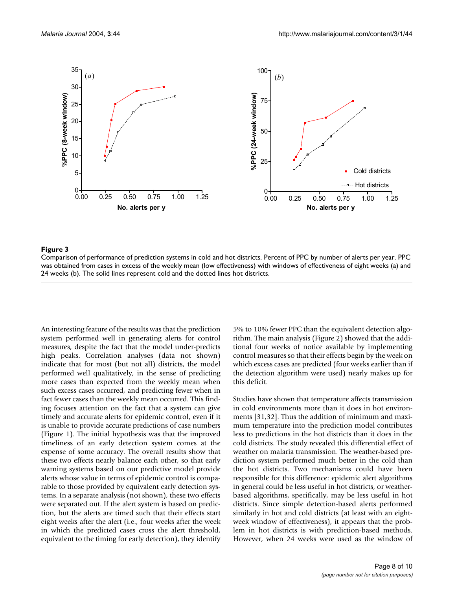<span id="page-7-0"></span>

#### Figure 3

Comparison of performance of prediction systems in cold and hot districts. Percent of PPC by number of alerts per year. PPC was obtained from cases in excess of the weekly mean (low effectiveness) with windows of effectiveness of eight weeks (a) and 24 weeks (b). The solid lines represent cold and the dotted lines hot districts.

An interesting feature of the results was that the prediction system performed well in generating alerts for control measures, despite the fact that the model under-predicts high peaks. Correlation analyses (data not shown) indicate that for most (but not all) districts, the model performed well qualitatively, in the sense of predicting more cases than expected from the weekly mean when such excess cases occurred, and predicting fewer when in fact fewer cases than the weekly mean occurred. This finding focuses attention on the fact that a system can give timely and accurate alerts for epidemic control, even if it is unable to provide accurate predictions of case numbers (Figure [1\)](#page-5-0). The initial hypothesis was that the improved timeliness of an early detection system comes at the expense of some accuracy. The overall results show that these two effects nearly balance each other, so that early warning systems based on our predictive model provide alerts whose value in terms of epidemic control is comparable to those provided by equivalent early detection systems. In a separate analysis (not shown), these two effects were separated out. If the alert system is based on prediction, but the alerts are timed such that their effects start eight weeks after the alert (i.e., four weeks after the week in which the predicted cases cross the alert threshold, equivalent to the timing for early detection), they identify 5% to 10% fewer PPC than the equivalent detection algorithm. The main analysis (Figure [2\)](#page-6-0) showed that the additional four weeks of notice available by implementing control measures so that their effects begin by the week on which excess cases are predicted (four weeks earlier than if the detection algorithm were used) nearly makes up for this deficit.

Studies have shown that temperature affects transmission in cold environments more than it does in hot environments [31,32]. Thus the addition of minimum and maximum temperature into the prediction model contributes less to predictions in the hot districts than it does in the cold districts. The study revealed this differential effect of weather on malaria transmission. The weather-based prediction system performed much better in the cold than the hot districts. Two mechanisms could have been responsible for this difference: epidemic alert algorithms in general could be less useful in hot districts, or weatherbased algorithms, specifically, may be less useful in hot districts. Since simple detection-based alerts performed similarly in hot and cold districts (at least with an eightweek window of effectiveness), it appears that the problem in hot districts is with prediction-based methods. However, when 24 weeks were used as the window of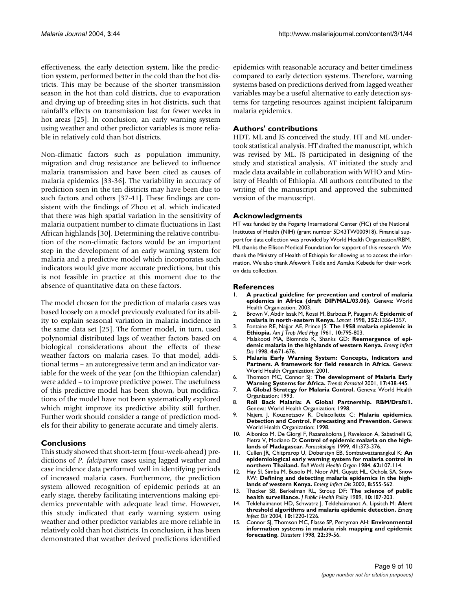effectiveness, the early detection system, like the prediction system, performed better in the cold than the hot districts. This may be because of the shorter transmission season in the hot than cold districts, due to evaporation and drying up of breeding sites in hot districts, such that rainfall's effects on transmission last for fewer weeks in hot areas [25]. In conclusion, an early warning system using weather and other predictor variables is more reliable in relatively cold than hot districts.

Non-climatic factors such as population immunity, migration and drug resistance are believed to influence malaria transmission and have been cited as causes of malaria epidemics [33-36]. The variability in accuracy of prediction seen in the ten districts may have been due to such factors and others [37-41]. These findings are consistent with the findings of Zhou et al. which indicated that there was high spatial variation in the sensitivity of malaria outpatient number to climate fluctuations in East African highlands [30]. Determining the relative contribution of the non-climatic factors would be an important step in the development of an early warning system for malaria and a predictive model which incorporates such indicators would give more accurate predictions, but this is not feasible in practice at this moment due to the absence of quantitative data on these factors.

The model chosen for the prediction of malaria cases was based loosely on a model previously evaluated for its ability to explain seasonal variation in malaria incidence in the same data set [25]. The former model, in turn, used polynomial distributed lags of weather factors based on biological considerations about the effects of these weather factors on malaria cases. To that model, additional terms – an autoregressive term and an indicator variable for the week of the year (on the Ethiopian calendar) were added – to improve predictive power. The usefulness of this predictive model has been shown, but modifications of the model have not been systematically explored which might improve its predictive ability still further. Further work should consider a range of prediction models for their ability to generate accurate and timely alerts.

### **Conclusions**

This study showed that short-term (four-week-ahead) predictions of *P. falciparum* cases using lagged weather and case incidence data performed well in identifying periods of increased malaria cases. Furthermore, the prediction system allowed recognition of epidemic periods at an early stage, thereby facilitating interventions making epidemics preventable with adequate lead time. However, this study indicated that early warning system using weather and other predictor variables are more reliable in relatively cold than hot districts. In conclusion, it has been demonstrated that weather derived predictions identified epidemics with reasonable accuracy and better timeliness compared to early detection systems. Therefore, warning systems based on predictions derived from lagged weather variables may be a useful alternative to early detection systems for targeting resources against incipient falciparum malaria epidemics.

#### **Authors' contributions**

HDT, ML and JS conceived the study. HT and ML undertook statistical analysis. HT drafted the manuscript, which was revised by ML. JS participated in designing of the study and statistical analysis. AT initiated the study and made data available in collaboration with WHO and Ministry of Health of Ethiopia. All authors contributed to the writing of the manuscript and approved the submitted version of the manuscript.

#### **Acknowledgments**

HT was funded by the Fogarty International Center (FIC) of the National Institutes of Health (NIH) (grant number 5D43TW000918). Financial support for data collection was provided by World Health Organization/RBM. ML thanks the Ellison Medical Foundation for support of this research. We thank the Ministry of Health of Ethiopia for allowing us to access the information. We also thank Afework Tekle and Asnake Kebede for their work on data collection.

#### **References**

- 1. **A practical guideline for prevention and control of malaria epidemics in Africa (draft DIP/MAL/03.06).** Geneva: World Health Organization; 2003.
- 2. Brown V, Abdir Issak M, Rossi M, Barboza P, Paugam A: **[Epidemic of](http://www.ncbi.nlm.nih.gov/entrez/query.fcgi?cmd=Retrieve&db=PubMed&dopt=Abstract&list_uids=9802279) [malaria in north-eastern Kenya.](http://www.ncbi.nlm.nih.gov/entrez/query.fcgi?cmd=Retrieve&db=PubMed&dopt=Abstract&list_uids=9802279)** *Lancet* 1998, **352:**1356-1357.
- 3. Fontaine RE, Najjar AE, Prince JS: **[The 1958 malaria epidemic in](http://www.ncbi.nlm.nih.gov/entrez/query.fcgi?cmd=Retrieve&db=PubMed&dopt=Abstract&list_uids=13893940) [Ethiopia.](http://www.ncbi.nlm.nih.gov/entrez/query.fcgi?cmd=Retrieve&db=PubMed&dopt=Abstract&list_uids=13893940)** *Am J Trop Med Hyg* 1961, **10:**795-803.
- 4. Malakooti MA, Biomndo K, Shanks GD: **[Reemergence of epi](http://www.ncbi.nlm.nih.gov/entrez/query.fcgi?cmd=Retrieve&db=PubMed&dopt=Abstract&list_uids=9866748)[demic malaria in the highlands of western Kenya.](http://www.ncbi.nlm.nih.gov/entrez/query.fcgi?cmd=Retrieve&db=PubMed&dopt=Abstract&list_uids=9866748)** *Emerg Infect Dis* 1998, **4:**671-676.
- 5. **Malaria Early Warning System: Concepts, Indicators and Partners. A framework for field research in Africa.** Geneva: World Health Organization; 2001.
- 6. Thomson MC, Connor SJ: **[The development of Malaria Early](http://www.ncbi.nlm.nih.gov/entrez/query.fcgi?cmd=Retrieve&db=PubMed&dopt=Abstract&list_uids=11530356) [Warning Systems for Africa.](http://www.ncbi.nlm.nih.gov/entrez/query.fcgi?cmd=Retrieve&db=PubMed&dopt=Abstract&list_uids=11530356)** *Trends Parasitol* 2001, **17:**438-445.
- 7. **A Global Strategy for Malaria Control.** Geneva: World Health Organization; 1993.
- 8. **Roll Back Malaria: A Global Partnership. RBM/Draft/1.** Geneva: World Health Organization; 1998.
- 9. Najera J, Kouznetzsov R, Delacollette C: **Malaria epidemics. Detection and Control. Forecasting and Prevention.** Geneva: World Health Organization; 1998.
- 10. Albonico M, De Giorgi F, Razanakolona J, Raveloson A, Sabatinelli G, Pietra V, Modiano D: **[Control of epidemic malaria on the high](http://www.ncbi.nlm.nih.gov/entrez/query.fcgi?cmd=Retrieve&db=PubMed&dopt=Abstract&list_uids=10697886)[lands of Madagascar.](http://www.ncbi.nlm.nih.gov/entrez/query.fcgi?cmd=Retrieve&db=PubMed&dopt=Abstract&list_uids=10697886)** *Parassitologia* 1999, **41:**373-376.
- 11. Cullen JR, Chitprarop U, Doberstyn EB, Sombatwattanangkul K: **[An](http://www.ncbi.nlm.nih.gov/entrez/query.fcgi?cmd=Retrieve&db=PubMed&dopt=Abstract&list_uids=6609015) [epidemiological early warning system for malaria control in](http://www.ncbi.nlm.nih.gov/entrez/query.fcgi?cmd=Retrieve&db=PubMed&dopt=Abstract&list_uids=6609015) [northern Thailand.](http://www.ncbi.nlm.nih.gov/entrez/query.fcgi?cmd=Retrieve&db=PubMed&dopt=Abstract&list_uids=6609015)** *Bull World Health Organ* 1984, **62:**107-114.
- 12. Hay SI, Simba M, Busolo M, Noor AM, Guyatt HL, Ochola SA, Snow RW: **[Defining and detecting malaria epidemics in the high](http://www.ncbi.nlm.nih.gov/entrez/query.fcgi?cmd=Retrieve&db=PubMed&dopt=Abstract&list_uids=12023909)[lands of western Kenya.](http://www.ncbi.nlm.nih.gov/entrez/query.fcgi?cmd=Retrieve&db=PubMed&dopt=Abstract&list_uids=12023909)** *Emerg Infect Dis* 2002, **8:**555-562.
- 13. Thacker SB, Berkelman RL, Stroup DF: **[The science of public](http://www.ncbi.nlm.nih.gov/entrez/query.fcgi?cmd=Retrieve&db=PubMed&dopt=Abstract&list_uids=2745711) [health surveillance.](http://www.ncbi.nlm.nih.gov/entrez/query.fcgi?cmd=Retrieve&db=PubMed&dopt=Abstract&list_uids=2745711)** *J Public Health Policy* 1989, **10:**187-203.
- 14. Teklehaimanot HD, Schwatrz J, Teklehaimanot A, Lipsitch M: **[Alert](http://www.ncbi.nlm.nih.gov/entrez/query.fcgi?cmd=Retrieve&db=PubMed&dopt=Abstract&list_uids=15324541) [threshold algorithms and malaria epidemic detection.](http://www.ncbi.nlm.nih.gov/entrez/query.fcgi?cmd=Retrieve&db=PubMed&dopt=Abstract&list_uids=15324541)** *Emerg Infect Dis* 2004, **10:**1220-1226.
- 15. Connor SJ, Thomson MC, Flasse SP, Perryman AH: **[Environmental](http://www.ncbi.nlm.nih.gov/entrez/query.fcgi?cmd=Retrieve&db=PubMed&dopt=Abstract&list_uids=9549172) [information systems in malaria risk mapping and epidemic](http://www.ncbi.nlm.nih.gov/entrez/query.fcgi?cmd=Retrieve&db=PubMed&dopt=Abstract&list_uids=9549172) [forecasting.](http://www.ncbi.nlm.nih.gov/entrez/query.fcgi?cmd=Retrieve&db=PubMed&dopt=Abstract&list_uids=9549172)** *Disasters* 1998, **22:**39-56.